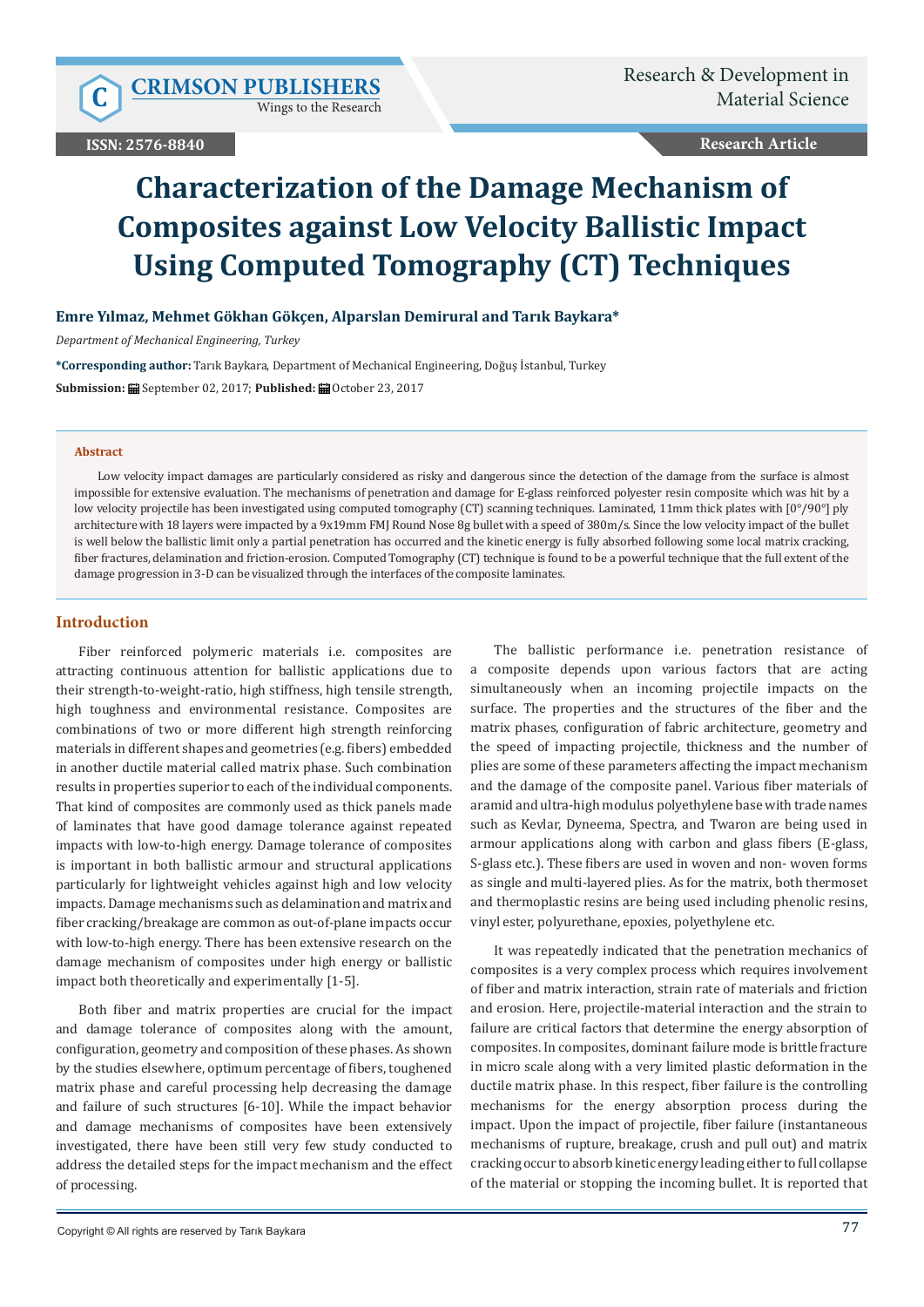$C$  **CRIMSON PUBLISHERS** 

Wings to the Research

**Research Article**

# **Characterization of the Damage Mechanism of Composites against Low Velocity Ballistic Impact Using Computed Tomography (CT) Techniques**

# **Emre Yılmaz, Mehmet Gökhan Gökçen, Alparslan Demirural and Tarık Baykara\***

*Department of Mechanical Engineering, Turkey*

**\*Corresponding author:** Tarık Baykara, Department of Mechanical Engineering, Doğuş İstanbul, Turkey **Submission: 自 September 02, 2017; Published: 自 October 23, 2017** 

#### **Abstract**

Low velocity impact damages are particularly considered as risky and dangerous since the detection of the damage from the surface is almost impossible for extensive evaluation. The mechanisms of penetration and damage for E-glass reinforced polyester resin composite which was hit by a low velocity projectile has been investigated using computed tomography (CT) scanning techniques. Laminated, 11mm thick plates with  $[0^{\circ}/90^{\circ}]$  ply architecture with 18 layers were impacted by a 9x19mm FMJ Round Nose 8g bullet with a speed of 380m/s. Since the low velocity impact of the bullet is well below the ballistic limit only a partial penetration has occurred and the kinetic energy is fully absorbed following some local matrix cracking, fiber fractures, delamination and friction-erosion. Computed Tomography (CT) technique is found to be a powerful technique that the full extent of the damage progression in 3-D can be visualized through the interfaces of the composite laminates.

## **Introduction**

Fiber reinforced polymeric materials i.e. composites are attracting continuous attention for ballistic applications due to their strength-to-weight-ratio, high stiffness, high tensile strength, high toughness and environmental resistance. Composites are combinations of two or more different high strength reinforcing materials in different shapes and geometries (e.g. fibers) embedded in another ductile material called matrix phase. Such combination results in properties superior to each of the individual components. That kind of composites are commonly used as thick panels made of laminates that have good damage tolerance against repeated impacts with low-to-high energy. Damage tolerance of composites is important in both ballistic armour and structural applications particularly for lightweight vehicles against high and low velocity impacts. Damage mechanisms such as delamination and matrix and fiber cracking/breakage are common as out-of-plane impacts occur with low-to-high energy. There has been extensive research on the damage mechanism of composites under high energy or ballistic impact both theoretically and experimentally [1-5].

Both fiber and matrix properties are crucial for the impact and damage tolerance of composites along with the amount, configuration, geometry and composition of these phases. As shown by the studies elsewhere, optimum percentage of fibers, toughened matrix phase and careful processing help decreasing the damage and failure of such structures [6-10]. While the impact behavior and damage mechanisms of composites have been extensively investigated, there have been still very few study conducted to address the detailed steps for the impact mechanism and the effect of processing.

The ballistic performance i.e. penetration resistance of a composite depends upon various factors that are acting simultaneously when an incoming projectile impacts on the surface. The properties and the structures of the fiber and the matrix phases, configuration of fabric architecture, geometry and the speed of impacting projectile, thickness and the number of plies are some of these parameters affecting the impact mechanism and the damage of the composite panel. Various fiber materials of aramid and ultra-high modulus polyethylene base with trade names such as Kevlar, Dyneema, Spectra, and Twaron are being used in armour applications along with carbon and glass fibers (E-glass, S-glass etc.). These fibers are used in woven and non- woven forms as single and multi-layered plies. As for the matrix, both thermoset and thermoplastic resins are being used including phenolic resins, vinyl ester, polyurethane, epoxies, polyethylene etc.

It was repeatedly indicated that the penetration mechanics of composites is a very complex process which requires involvement of fiber and matrix interaction, strain rate of materials and friction and erosion. Here, projectile-material interaction and the strain to failure are critical factors that determine the energy absorption of composites. In composites, dominant failure mode is brittle fracture in micro scale along with a very limited plastic deformation in the ductile matrix phase. In this respect, fiber failure is the controlling mechanisms for the energy absorption process during the impact. Upon the impact of projectile, fiber failure (instantaneous mechanisms of rupture, breakage, crush and pull out) and matrix cracking occur to absorb kinetic energy leading either to full collapse of the material or stopping the incoming bullet. It is reported that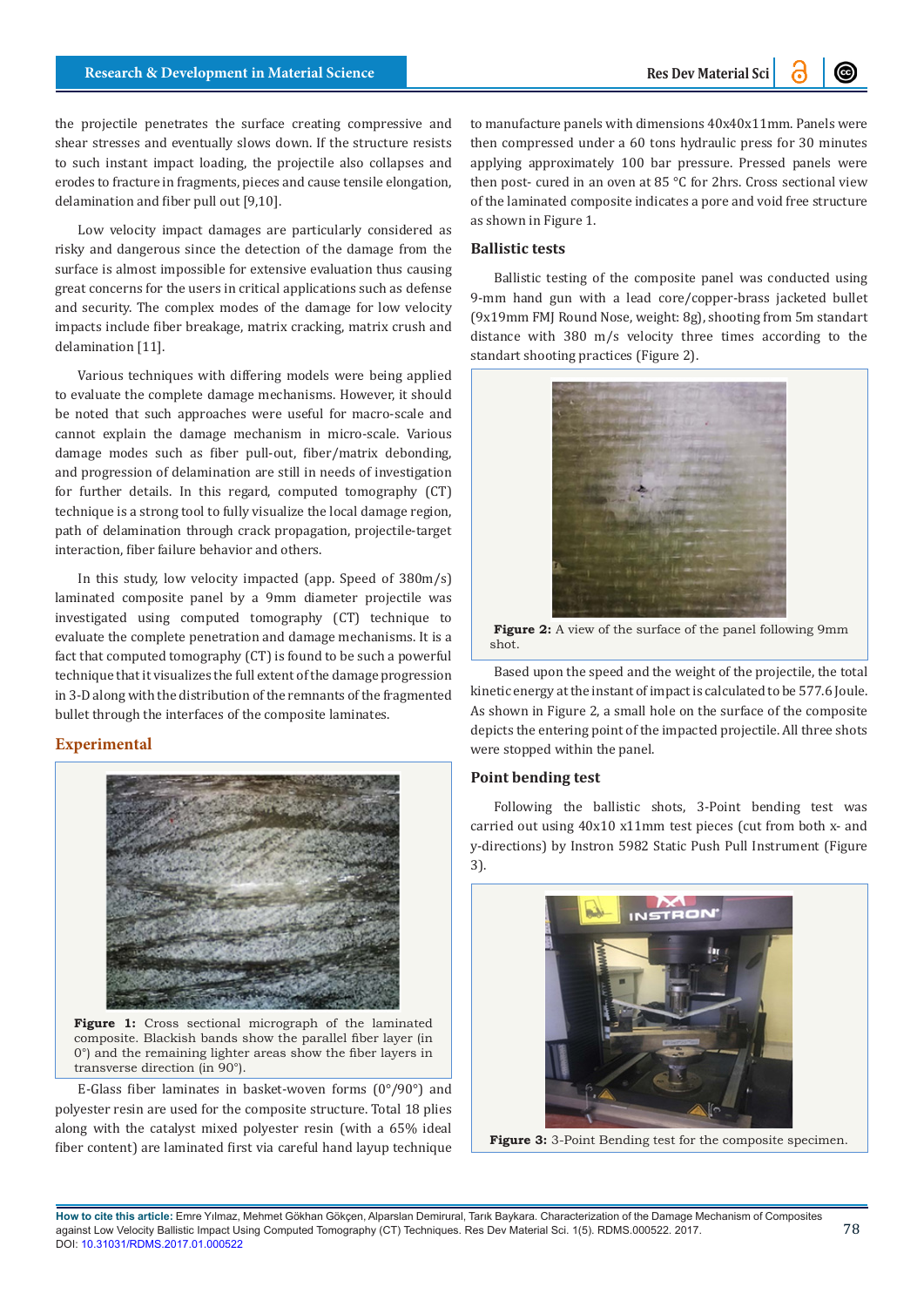the projectile penetrates the surface creating compressive and shear stresses and eventually slows down. If the structure resists to such instant impact loading, the projectile also collapses and erodes to fracture in fragments, pieces and cause tensile elongation, delamination and fiber pull out [9,10].

Low velocity impact damages are particularly considered as risky and dangerous since the detection of the damage from the surface is almost impossible for extensive evaluation thus causing great concerns for the users in critical applications such as defense and security. The complex modes of the damage for low velocity impacts include fiber breakage, matrix cracking, matrix crush and delamination [11].

Various techniques with differing models were being applied to evaluate the complete damage mechanisms. However, it should be noted that such approaches were useful for macro-scale and cannot explain the damage mechanism in micro-scale. Various damage modes such as fiber pull-out, fiber/matrix debonding, and progression of delamination are still in needs of investigation for further details. In this regard, computed tomography (CT) technique is a strong tool to fully visualize the local damage region, path of delamination through crack propagation, projectile-target interaction, fiber failure behavior and others.

In this study, low velocity impacted (app. Speed of 380m/s) laminated composite panel by a 9mm diameter projectile was investigated using computed tomography (CT) technique to evaluate the complete penetration and damage mechanisms. It is a fact that computed tomography (CT) is found to be such a powerful technique that it visualizes the full extent of the damage progression in 3-D along with the distribution of the remnants of the fragmented bullet through the interfaces of the composite laminates.

## **Experimental**



**Figure 1:** Cross sectional micrograph of the laminated composite. Blackish bands show the parallel fiber layer (in 0°) and the remaining lighter areas show the fiber layers in transverse direction (in 90°).

E-Glass fiber laminates in basket-woven forms (0°/90°) and polyester resin are used for the composite structure. Total 18 plies along with the catalyst mixed polyester resin (with a 65% ideal fiber content) are laminated first via careful hand layup technique

to manufacture panels with dimensions 40x40x11mm. Panels were then compressed under a 60 tons hydraulic press for 30 minutes applying approximately 100 bar pressure. Pressed panels were then post- cured in an oven at 85 °C for 2hrs. Cross sectional view of the laminated composite indicates a pore and void free structure as shown in Figure 1.

## **Ballistic tests**

Ballistic testing of the composite panel was conducted using 9-mm hand gun with a lead core/copper-brass jacketed bullet (9x19mm FMJ Round Nose, weight: 8g), shooting from 5m standart distance with 380 m/s velocity three times according to the standart shooting practices (Figure 2).



Figure 2: A view of the surface of the panel following 9mm shot.

Based upon the speed and the weight of the projectile, the total kinetic energy at the instant of impact is calculated to be 577.6 Joule. As shown in Figure 2, a small hole on the surface of the composite depicts the entering point of the impacted projectile. All three shots were stopped within the panel.

#### **Point bending test**

Following the ballistic shots, 3-Point bending test was carried out using 40x10 x11mm test pieces (cut from both x- and y-directions) by Instron 5982 Static Push Pull Instrument (Figure 3).



**Figure 3:** 3-Point Bending test for the composite specimen.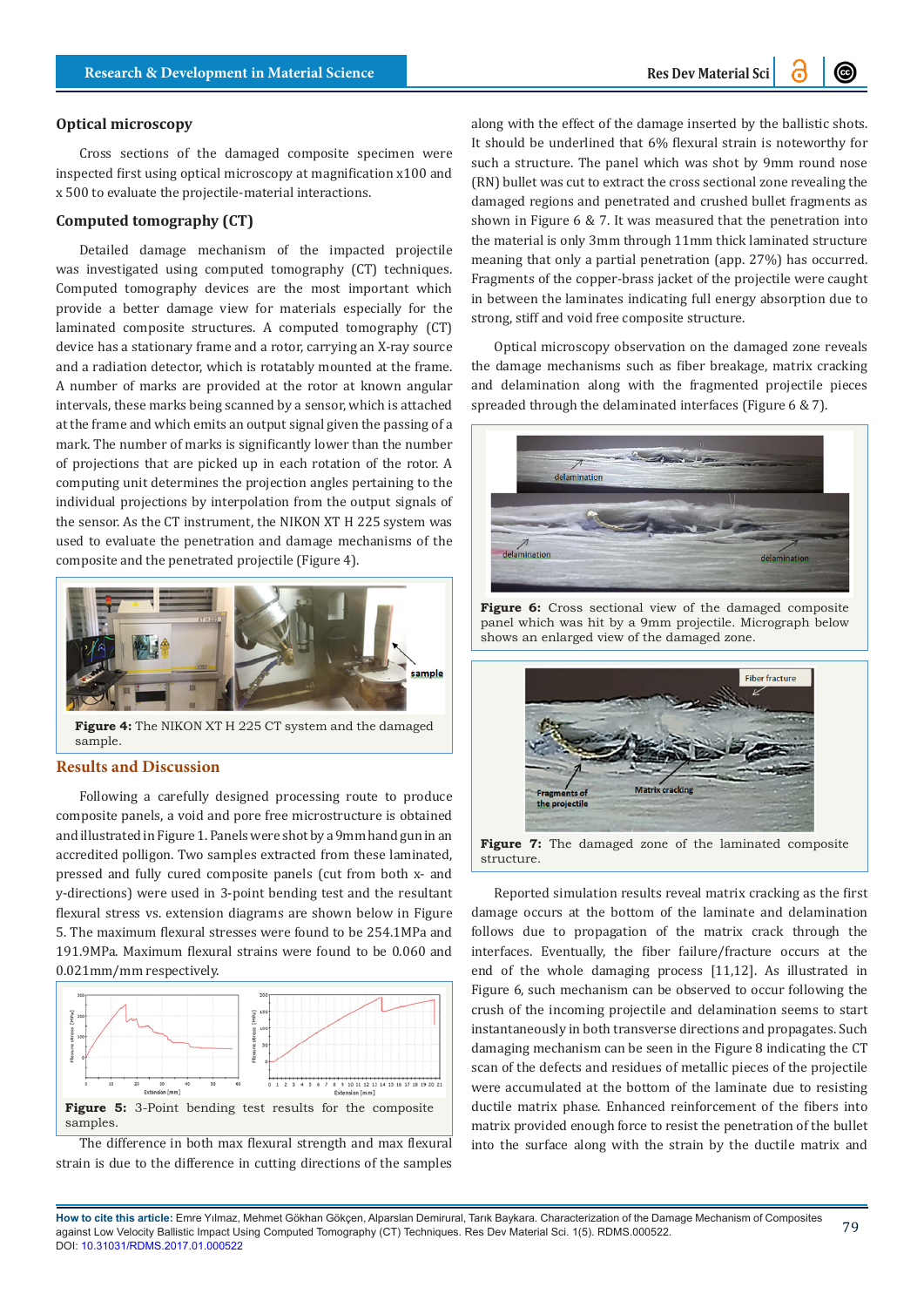#### **Optical microscopy**

Cross sections of the damaged composite specimen were inspected first using optical microscopy at magnification x100 and x 500 to evaluate the projectile-material interactions.

## **Computed tomography (CT)**

Detailed damage mechanism of the impacted projectile was investigated using computed tomography (CT) techniques. Computed tomography devices are the most important which provide a better damage view for materials especially for the laminated composite structures. A computed tomography (CT) device has a stationary frame and a rotor, carrying an X-ray source and a radiation detector, which is rotatably mounted at the frame. A number of marks are provided at the rotor at known angular intervals, these marks being scanned by a sensor, which is attached at the frame and which emits an output signal given the passing of a mark. The number of marks is significantly lower than the number of projections that are picked up in each rotation of the rotor. A computing unit determines the projection angles pertaining to the individual projections by interpolation from the output signals of the sensor. As the CT instrument, the NIKON XT H 225 system was used to evaluate the penetration and damage mechanisms of the composite and the penetrated projectile (Figure 4).



**Figure 4:** The NIKON XT H 225 CT system and the damaged sample.

## **Results and Discussion**

Following a carefully designed processing route to produce composite panels, a void and pore free microstructure is obtained and illustrated in Figure 1. Panels were shot by a 9mm hand gun in an accredited polligon. Two samples extracted from these laminated, pressed and fully cured composite panels (cut from both x- and y-directions) were used in 3-point bending test and the resultant flexural stress vs. extension diagrams are shown below in Figure 5. The maximum flexural stresses were found to be 254.1MPa and 191.9MPa. Maximum flexural strains were found to be 0.060 and 0.021mm/mm respectively.



The difference in both max flexural strength and max flexural strain is due to the difference in cutting directions of the samples

along with the effect of the damage inserted by the ballistic shots. It should be underlined that 6% flexural strain is noteworthy for such a structure. The panel which was shot by 9mm round nose (RN) bullet was cut to extract the cross sectional zone revealing the damaged regions and penetrated and crushed bullet fragments as shown in Figure 6 & 7. It was measured that the penetration into the material is only 3mm through 11mm thick laminated structure meaning that only a partial penetration (app. 27%) has occurred. Fragments of the copper-brass jacket of the projectile were caught in between the laminates indicating full energy absorption due to strong, stiff and void free composite structure.

Optical microscopy observation on the damaged zone reveals the damage mechanisms such as fiber breakage, matrix cracking and delamination along with the fragmented projectile pieces spreaded through the delaminated interfaces (Figure 6 & 7).



**Figure 6:** Cross sectional view of the damaged composite panel which was hit by a 9mm projectile. Micrograph below shows an enlarged view of the damaged zone.



**Figure 7:** The damaged zone of the laminated composite structure.

Reported simulation results reveal matrix cracking as the first damage occurs at the bottom of the laminate and delamination follows due to propagation of the matrix crack through the interfaces. Eventually, the fiber failure/fracture occurs at the end of the whole damaging process [11,12]. As illustrated in Figure 6, such mechanism can be observed to occur following the crush of the incoming projectile and delamination seems to start instantaneously in both transverse directions and propagates. Such damaging mechanism can be seen in the Figure 8 indicating the CT scan of the defects and residues of metallic pieces of the projectile were accumulated at the bottom of the laminate due to resisting ductile matrix phase. Enhanced reinforcement of the fibers into matrix provided enough force to resist the penetration of the bullet into the surface along with the strain by the ductile matrix and

79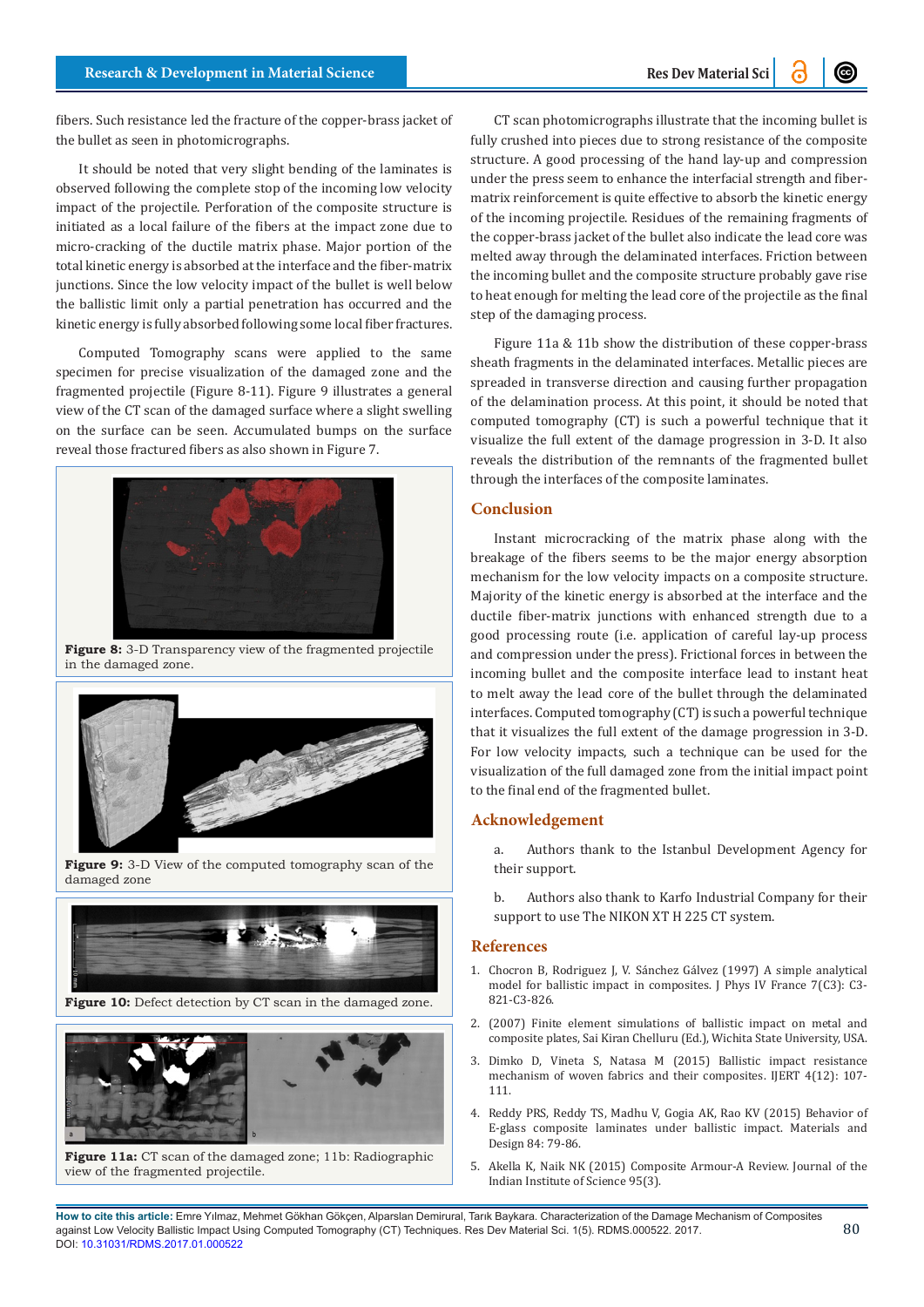fibers. Such resistance led the fracture of the copper-brass jacket of the bullet as seen in photomicrographs.

It should be noted that very slight bending of the laminates is observed following the complete stop of the incoming low velocity impact of the projectile. Perforation of the composite structure is initiated as a local failure of the fibers at the impact zone due to micro-cracking of the ductile matrix phase. Major portion of the total kinetic energy is absorbed at the interface and the fiber-matrix junctions. Since the low velocity impact of the bullet is well below the ballistic limit only a partial penetration has occurred and the kinetic energy is fully absorbed following some local fiber fractures.

Computed Tomography scans were applied to the same specimen for precise visualization of the damaged zone and the fragmented projectile (Figure 8-11). Figure 9 illustrates a general view of the CT scan of the damaged surface where a slight swelling on the surface can be seen. Accumulated bumps on the surface reveal those fractured fibers as also shown in Figure 7.



**Figure 8:** 3-D Transparency view of the fragmented projectile in the damaged zone.



**Figure 9:** 3-D View of the computed tomography scan of the damaged zone



**Figure 10:** Defect detection by CT scan in the damaged zone.



**Figure 11a:** CT scan of the damaged zone; 11b: Radiographic view of the fragmented projectile.

CT scan photomicrographs illustrate that the incoming bullet is fully crushed into pieces due to strong resistance of the composite structure. A good processing of the hand lay-up and compression under the press seem to enhance the interfacial strength and fibermatrix reinforcement is quite effective to absorb the kinetic energy of the incoming projectile. Residues of the remaining fragments of the copper-brass jacket of the bullet also indicate the lead core was melted away through the delaminated interfaces. Friction between the incoming bullet and the composite structure probably gave rise to heat enough for melting the lead core of the projectile as the final step of the damaging process.

Figure 11a & 11b show the distribution of these copper-brass sheath fragments in the delaminated interfaces. Metallic pieces are spreaded in transverse direction and causing further propagation of the delamination process. At this point, it should be noted that computed tomography (CT) is such a powerful technique that it visualize the full extent of the damage progression in 3-D. It also reveals the distribution of the remnants of the fragmented bullet through the interfaces of the composite laminates.

#### **Conclusion**

Instant microcracking of the matrix phase along with the breakage of the fibers seems to be the major energy absorption mechanism for the low velocity impacts on a composite structure. Majority of the kinetic energy is absorbed at the interface and the ductile fiber-matrix junctions with enhanced strength due to a good processing route (i.e. application of careful lay-up process and compression under the press). Frictional forces in between the incoming bullet and the composite interface lead to instant heat to melt away the lead core of the bullet through the delaminated interfaces. Computed tomography (CT) is such a powerful technique that it visualizes the full extent of the damage progression in 3-D. For low velocity impacts, such a technique can be used for the visualization of the full damaged zone from the initial impact point to the final end of the fragmented bullet.

## **Acknowledgement**

- a. Authors thank to the Istanbul Development Agency for their support.
- b. Authors also thank to Karfo Industrial Company for their support to use The NIKON XT H 225 CT system.

#### **References**

- 1. [Chocron B, Rodriguez J, V. Sánchez Gálvez \(1997\) A simple analytical](https://hal.archives-ouvertes.fr/jpa-00255426/document) [model for ballistic impact in composites. J Phys IV France 7\(C3\): C3-](https://hal.archives-ouvertes.fr/jpa-00255426/document) [821-C3-826.](https://hal.archives-ouvertes.fr/jpa-00255426/document)
- 2. (2007) Finite element simulations of ballistic impact on metal and composite plates, Sai Kiran Chelluru (Ed.), Wichita State University, USA.
- 3. [Dimko D, Vineta S, Natasa M \(2015\) Ballistic impact resistance](http://eprints.ugd.edu.mk/15240/1/V4I12_IJERTV4IS120160.pdf) [mechanism of woven fabrics and their composites. IJERT 4\(12\): 107-](http://eprints.ugd.edu.mk/15240/1/V4I12_IJERTV4IS120160.pdf) [111.](http://eprints.ugd.edu.mk/15240/1/V4I12_IJERTV4IS120160.pdf)
- 4. Reddy PRS, Reddy TS, Madhu V, Gogia AK, Rao KV (2015) Behavior of E-glass composite laminates under ballistic impact. Materials and Design 84: 79-86.
- 5. [Akella K, Naik NK \(2015\) Composite Armour-A Review. Journal of the](http://journal.library.iisc.ernet.in/index.php/iisc/article/view/4574) [Indian Institute of Science 95\(3\).](http://journal.library.iisc.ernet.in/index.php/iisc/article/view/4574)

**How to cite this article:** Emre Yılmaz, Mehmet Gökhan Gökçen, Alparslan Demirural, Tarık Baykara. Characterization of the Damage Mechanism of Composites against Low Velocity Ballistic Impact Using Computed Tomography (CT) Techniques. Res Dev Material Sci. 1(5). RDMS.000522. 2017. DOI: [10.31031/RDMS.2017.01.000522](http://dx.doi.org/10.31031/RDMS.2017.01.000522
)